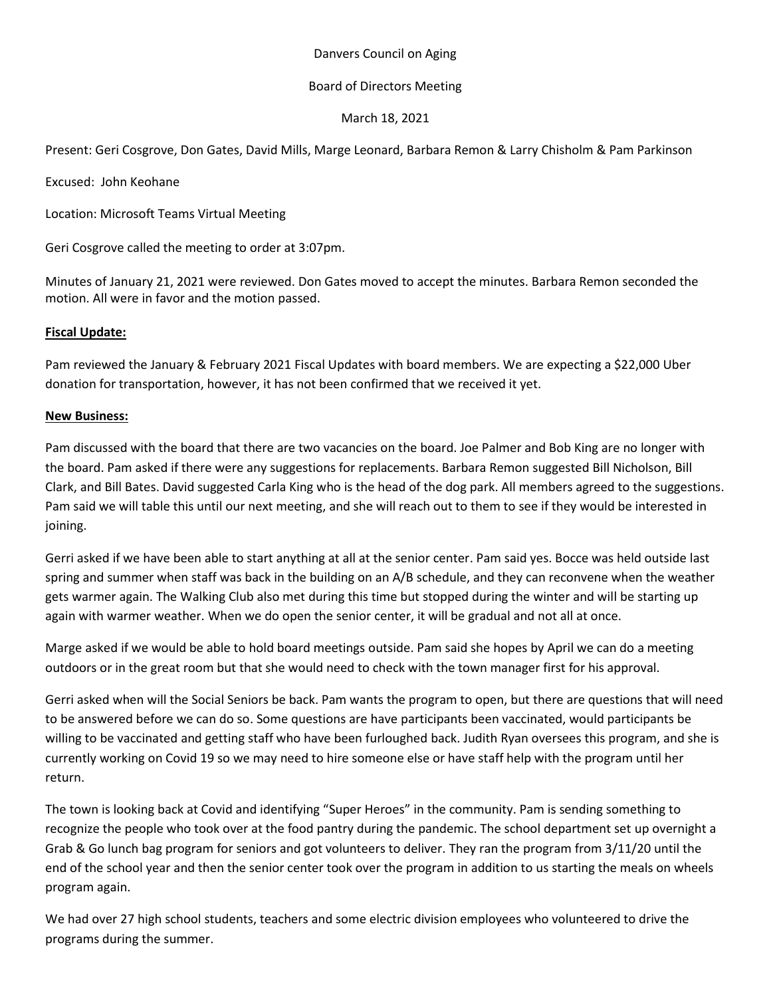## Danvers Council on Aging

# Board of Directors Meeting

# March 18, 2021

Present: Geri Cosgrove, Don Gates, David Mills, Marge Leonard, Barbara Remon & Larry Chisholm & Pam Parkinson

Excused: John Keohane

Location: Microsoft Teams Virtual Meeting

Geri Cosgrove called the meeting to order at 3:07pm.

Minutes of January 21, 2021 were reviewed. Don Gates moved to accept the minutes. Barbara Remon seconded the motion. All were in favor and the motion passed.

#### **Fiscal Update:**

Pam reviewed the January & February 2021 Fiscal Updates with board members. We are expecting a \$22,000 Uber donation for transportation, however, it has not been confirmed that we received it yet.

# **New Business:**

Pam discussed with the board that there are two vacancies on the board. Joe Palmer and Bob King are no longer with the board. Pam asked if there were any suggestions for replacements. Barbara Remon suggested Bill Nicholson, Bill Clark, and Bill Bates. David suggested Carla King who is the head of the dog park. All members agreed to the suggestions. Pam said we will table this until our next meeting, and she will reach out to them to see if they would be interested in joining.

Gerri asked if we have been able to start anything at all at the senior center. Pam said yes. Bocce was held outside last spring and summer when staff was back in the building on an A/B schedule, and they can reconvene when the weather gets warmer again. The Walking Club also met during this time but stopped during the winter and will be starting up again with warmer weather. When we do open the senior center, it will be gradual and not all at once.

Marge asked if we would be able to hold board meetings outside. Pam said she hopes by April we can do a meeting outdoors or in the great room but that she would need to check with the town manager first for his approval.

Gerri asked when will the Social Seniors be back. Pam wants the program to open, but there are questions that will need to be answered before we can do so. Some questions are have participants been vaccinated, would participants be willing to be vaccinated and getting staff who have been furloughed back. Judith Ryan oversees this program, and she is currently working on Covid 19 so we may need to hire someone else or have staff help with the program until her return.

The town is looking back at Covid and identifying "Super Heroes" in the community. Pam is sending something to recognize the people who took over at the food pantry during the pandemic. The school department set up overnight a Grab & Go lunch bag program for seniors and got volunteers to deliver. They ran the program from 3/11/20 until the end of the school year and then the senior center took over the program in addition to us starting the meals on wheels program again.

We had over 27 high school students, teachers and some electric division employees who volunteered to drive the programs during the summer.